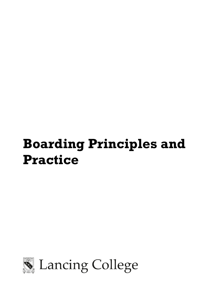# **Boarding Principles and Practice**



Lancing College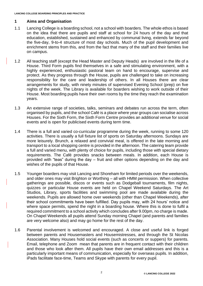## **1 Aims and Organisation**

- 1.1 Lancing College is a boarding school, not a school with boarders. The whole ethos is based on the idea that there are pupils and staff at school for 24 hours of the day and that education, established, sustained and enhanced by communal living, extends far beyond the five-day, 9-to-4 structure of most day schools. Much of the pupil development and enrichment stems from this, and from the fact that many of the staff and their families live on campus.
- 1.2 All teaching staff (except the Head Master and Deputy Heads) are involved in the life of a House. Third Form pupils find themselves in a safe and stimulating environment, with a highly experienced, enthusiastic pastoral team on hand to encourage, supervise and protect. As they progress through the House, pupils are challenged to take on increasing responsibility for the care and leadership of others. In all Houses there are clear arrangements for study, with ninety minutes of supervised Evening School (prep) on five nights of the week. The Library is available for boarders wishing to work outside of their House. Most boarding pupils have their own rooms by the time they reach the examination years.
- 1.3 An extensive range of societies, talks, seminars and debates run across the term, often organised by pupils, and the school Café is a place where year groups can socialise across Houses. For the Sixth Form, the Sixth Form Centre provides an additional venue for social events and is open for publicised events during term time.
- 1.4 There is a full and varied co-curricular programme during the week, running to some 120 activities. There is usually a full fixture list of sports on Saturday afternoons. Sundays are more leisurely. Brunch, a relaxed and convivial meal, is offered in the late morning and transport to a local shopping centre is provided in the afternoon. The catering team provide a full and varied menu, with plenty of choice for pupils, including those with special dietary requirements. The Café provides snacks between meals. In addition, each House is provided with "teas" during the day – fruit and other options depending on the day and wishes of the pupils of that House.
- 1.5 Younger boarders may visit Lancing and Shoreham for limited periods over the weekends, and older ones may visit Brighton or Worthing – all with HMM permission. When collective gatherings are possible, discos or events such as Dodgeball tournaments, film nights, quizzes or particular House events are held on Chapel Weekend Saturdays. The Art Studios, Library, sports facilities and swimming pool are made available during the weekends. Pupils are allowed home over weekends (other than Chapel Weekends), after their school commitments have been fulfilled. Day pupils may, with 24 hours' notice and where space permits, spend the night in a boarding house. Where this is done to fulfil a required commitment to a school activity which concludes after 9.00pm, no charge is made. On Chapel Weekends all pupils attend Sunday morning Chapel (and parents and families are very welcome also) and may go home for the rest of the day.
- 1.6 Parental involvement is welcomed and encouraged. A close and useful link is forged between parents and Housemasters and Housemistresses, and through the St Nicolas Association. Many Houses hold social events (such as concerts or suppers) for parents. Email, telephone and Zoom mean that parents are in frequent contact with their children and those who look after them. All pupils have their own email addresses and this is a particularly important means of communication, especially for overseas pupils. In addition, iPads facilitate face-time, Teams and Skype with parents for every pupil.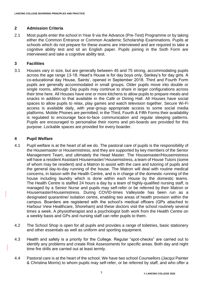### **2 Admission Criteria**

2.1 Most pupils enter the school in Year 9 via the Advance (Pre-Test) Programme or by taking either the Common Entrance or Common Academic Scholarship Examinations. Pupils at schools which do not prepare for these exams are interviewed and are required to take a cognitive ability test and sit an English paper. Pupils joining in the Sixth Form are interviewed and take a cognitive ability test.

### **3 Facilities**

3.1 Houses vary in size, but are generally between 45 and 75 strong, accommodating pupils across the age range 13-18. Head's House is for day boys only, Sankey's for day girls. A co-educational day House, Saints', opened in September 2018. Third and Fourth Form pupils are generally accommodated in small groups. Older pupils move into double or single rooms, although Day pupils may continue to share in larger configurations across their time here. All Houses have one or more kitchens to allow pupils to prepare meals and snacks in addition to that available in the Café or Dining Hall. All Houses have social spaces to allow pupils to relax, play games and watch television together. Secure Wi-Fi access is available daily, with year-group appropriate access to some social media platforms. Mobile Phones are permitted; in the Third, Fourth & Fifth Forms their availability is regulated to encourage face-to-face communication and regular sleeping patterns. Pupils are encouraged to personalise their rooms and pin-boards are provided for this purpose. Lockable spaces are provided for every boarder.

#### **4 Pupil Welfare**

- 4.1 Pupil welfare is at the heart of all we do. The pastoral care of pupils is the responsibility of the Housemaster or Housemistress, and they are supported by key members of the Senior Management Team, and ultimately the Head Master. The Housemaster/Housemistress will have a resident Assistant Housemaster/ Housemistress, a team of House Tutors (some of whom may be resident) and a Matron to assist with the care and tutoring of pupils and the general day-to-day running of the house. The Matron will deal with routine medical concerns, in liaison with the Health Centre, and is in charge of the domestic running of the house including laundry which is done within each House by the domestic teams. The Health Centre is staffed 24 hours a day by a team of highly-qualified nursing staff, is managed by a Senior Nurse and pupils may self-refer or be referred by their Matron or Housemaster/Housemistress. During COVID-times Valleyside has been run as a designated quarantine/ isolation centre, enabling two areas of health provision within the campus. Boarders are registered with the school's medical officers (GPs attached to Harbour View Healthcare, Shoreham) and these doctors visit the school routinely several times a week. A physiotherapist and a psychologist both work from the Health Centre on a weekly basis and GPs and nursing staff can refer pupils to them.
- 4.2 The School Shop is open for all pupils and provides a range of toiletries, basic stationery and other essentials as well as uniform and sporting equipment.
- 4.3 Health and safety is a priority for the College. Regular "spot-checks" are carried out to identify any problems and create Risk Assessments for specific areas. Both day and night time fire drills are carried out at least termly.
- 4.4 Pastoral care is at the heart of the school. We have two school Counsellors (Jacqui Painter & Christina Morris) to whom pupils may self-refer, or be referred by staff, and who offer a